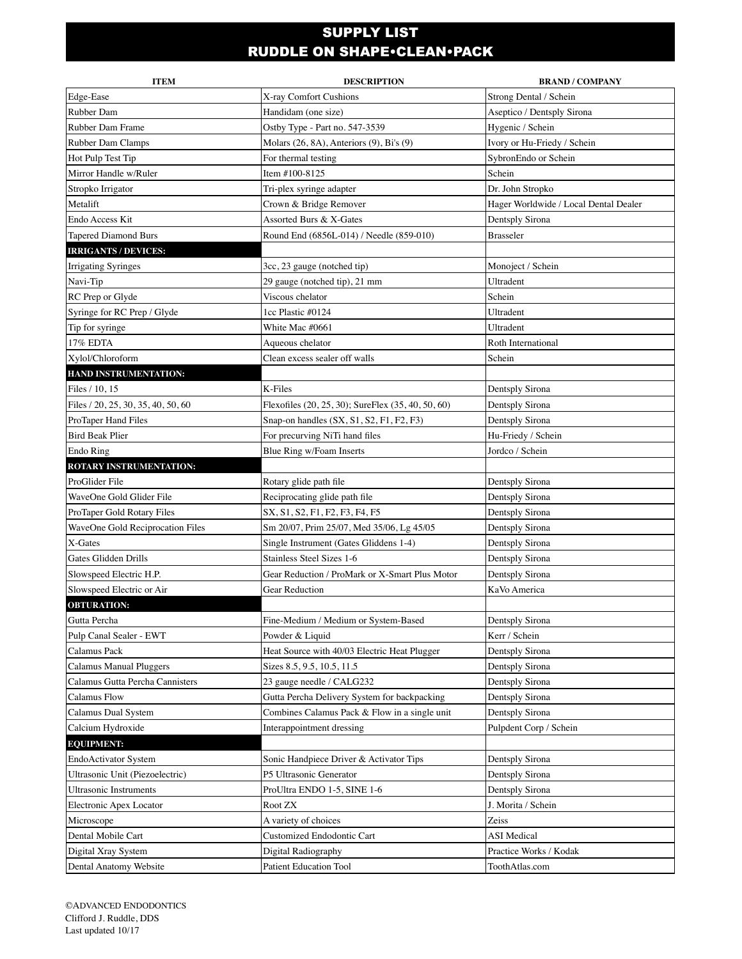## SUPPLY LIST RUDDLE ON SHAPE•CLEAN•PACK

| <b>ITEM</b>                        | <b>DESCRIPTION</b>                                 | <b>BRAND / COMPANY</b>                |  |
|------------------------------------|----------------------------------------------------|---------------------------------------|--|
| Edge-Ease                          | X-ray Comfort Cushions                             | Strong Dental / Schein                |  |
| Rubber Dam                         | Handidam (one size)                                | Aseptico / Dentsply Sirona            |  |
| Rubber Dam Frame                   | Ostby Type - Part no. 547-3539                     | Hygenic / Schein                      |  |
| Rubber Dam Clamps                  | Molars (26, 8A), Anteriors (9), Bi's (9)           | Ivory or Hu-Friedy / Schein           |  |
| Hot Pulp Test Tip                  | For thermal testing                                | SybronEndo or Schein                  |  |
| Mirror Handle w/Ruler              | Item #100-8125                                     | Schein                                |  |
| Stropko Irrigator                  | Tri-plex syringe adapter                           | Dr. John Stropko                      |  |
| Metalift                           | Crown & Bridge Remover                             | Hager Worldwide / Local Dental Dealer |  |
| Endo Access Kit                    | Assorted Burs & X-Gates                            | Dentsply Sirona                       |  |
| <b>Tapered Diamond Burs</b>        | Round End (6856L-014) / Needle (859-010)           | Brasseler                             |  |
| <b>IRRIGANTS / DEVICES:</b>        |                                                    |                                       |  |
| <b>Irrigating Syringes</b>         | 3cc, 23 gauge (notched tip)                        | Monoject / Schein                     |  |
| Navi-Tip                           | 29 gauge (notched tip), 21 mm                      | Ultradent                             |  |
| RC Prep or Glyde                   | Viscous chelator                                   | Schein                                |  |
| Syringe for RC Prep / Glyde        | 1cc Plastic #0124                                  | Ultradent                             |  |
| Tip for syringe                    | White Mac #0661                                    | Ultradent                             |  |
| 17% EDTA                           | Aqueous chelator                                   | Roth International                    |  |
| Xylol/Chloroform                   | Clean excess sealer off walls                      | Schein                                |  |
| HAND INSTRUMENTATION:              |                                                    |                                       |  |
| Files / 10, 15                     | K-Files                                            | Dentsply Sirona                       |  |
| Files / 20, 25, 30, 35, 40, 50, 60 | Flexofiles (20, 25, 30); SureFlex (35, 40, 50, 60) | Dentsply Sirona                       |  |
| ProTaper Hand Files                | Snap-on handles (SX, S1, S2, F1, F2, F3)           | Dentsply Sirona                       |  |
| <b>Bird Beak Plier</b>             | For precurving NiTi hand files                     | Hu-Friedy / Schein                    |  |
| Endo Ring                          | Blue Ring w/Foam Inserts                           | Jordco / Schein                       |  |
| ROTARY INSTRUMENTATION:            |                                                    |                                       |  |
| ProGlider File                     | Rotary glide path file                             | Dentsply Sirona                       |  |
| WaveOne Gold Glider File           | Reciprocating glide path file                      | Dentsply Sirona                       |  |
| ProTaper Gold Rotary Files         | SX, S1, S2, F1, F2, F3, F4, F5                     | Dentsply Sirona                       |  |
| WaveOne Gold Reciprocation Files   | Sm 20/07, Prim 25/07, Med 35/06, Lg 45/05          | Dentsply Sirona                       |  |
| X-Gates                            | Single Instrument (Gates Gliddens 1-4)             | Dentsply Sirona                       |  |
| <b>Gates Glidden Drills</b>        | Stainless Steel Sizes 1-6                          | Dentsply Sirona                       |  |
| Slowspeed Electric H.P.            | Gear Reduction / ProMark or X-Smart Plus Motor     | Dentsply Sirona                       |  |
| Slowspeed Electric or Air          | <b>Gear Reduction</b>                              | KaVo America                          |  |
| <b>OBTURATION:</b>                 |                                                    |                                       |  |
| Gutta Percha                       | Fine-Medium / Medium or System-Based               | Dentsply Sirona                       |  |
| Pulp Canal Sealer - EWT            | Powder & Liquid                                    | Kerr / Schein                         |  |
| Calamus Pack                       | Heat Source with 40/03 Electric Heat Plugger       | Dentsply Sirona                       |  |
| <b>Calamus Manual Pluggers</b>     | Sizes 8.5, 9.5, 10.5, 11.5                         | Dentsply Sirona                       |  |
| Calamus Gutta Percha Cannisters    | 23 gauge needle / CALG232                          | Dentsply Sirona                       |  |
| <b>Calamus Flow</b>                | Gutta Percha Delivery System for backpacking       | Dentsply Sirona                       |  |
| Calamus Dual System                | Combines Calamus Pack & Flow in a single unit      | Dentsply Sirona                       |  |
| Calcium Hydroxide                  | Interappointment dressing                          | Pulpdent Corp / Schein                |  |
| <b>EQUIPMENT:</b>                  |                                                    |                                       |  |
| EndoActivator System               | Sonic Handpiece Driver & Activator Tips            | Dentsply Sirona                       |  |
| Ultrasonic Unit (Piezoelectric)    | P5 Ultrasonic Generator                            | Dentsply Sirona                       |  |
| <b>Ultrasonic Instruments</b>      | ProUltra ENDO 1-5, SINE 1-6                        | Dentsply Sirona                       |  |
| Electronic Apex Locator            | Root ZX                                            | J. Morita / Schein                    |  |
| Microscope                         | A variety of choices                               | Zeiss                                 |  |
| Dental Mobile Cart                 | Customized Endodontic Cart                         | <b>ASI</b> Medical                    |  |
| Digital Xray System                | Digital Radiography                                | Practice Works / Kodak                |  |
| Dental Anatomy Website             | <b>Patient Education Tool</b>                      | ToothAtlas.com                        |  |